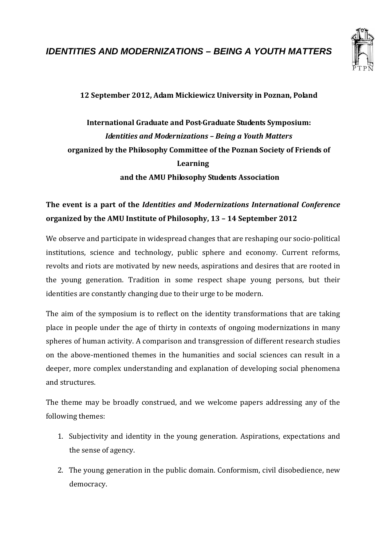

**12 September 2012, Adam Mickiewicz University in Poznan, Poland** 

## **International Graduate and Post-Graduate Students Symposium:**  *Identities and Modernizations – Being a Youth Matters*  **organized by the Philosophy Committee of the Poznan Society of Friends of Learning and the AMU Philosophy Students Association**

## **The event is a part of the** *Identities and Modernizations International Conference*  **organized by the AMU Institute of Philosophy, 13 – 14 September 2012**

We observe and participate in widespread changes that are reshaping our socio-political institutions, science and technology, public sphere and economy. Current reforms, revolts and riots are motivated by new needs, aspirations and desires that are rooted in the young generation. Tradition in some respect shape young persons, but their identities are constantly changing due to their urge to be modern.

The aim of the symposium is to reflect on the identity transformations that are taking place in people under the age of thirty in contexts of ongoing modernizations in many spheres of human activity. A comparison and transgression of different research studies on the above-mentioned themes in the humanities and social sciences can result in a deeper, more complex understanding and explanation of developing social phenomena and structures.

The theme may be broadly construed, and we welcome papers addressing any of the following themes:

- 1. Subjectivity and identity in the young generation. Aspirations, expectations and the sense of agency.
- 2. The young generation in the public domain. Conformism, civil disobedience, new democracy.